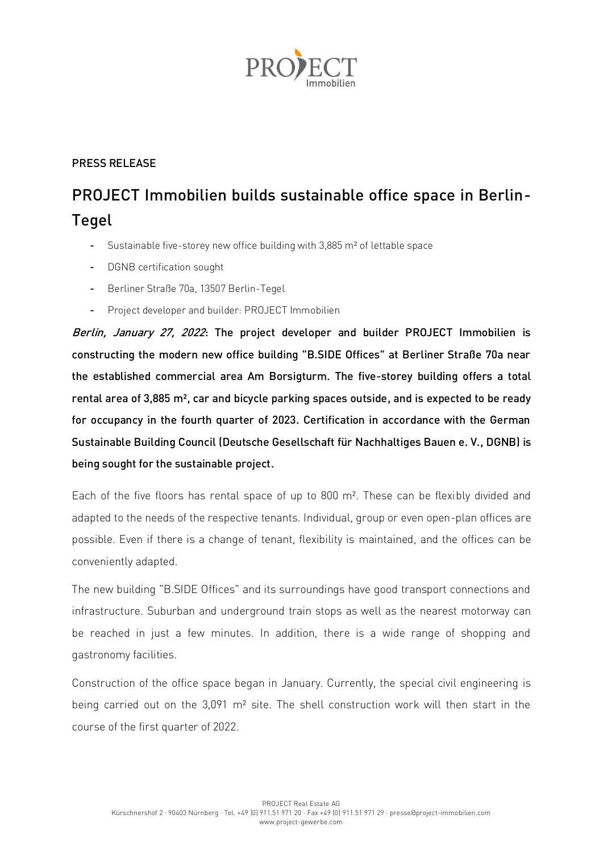

## PRESS RELEASE

## PROJECT Immobilien builds sustainable office space in Berlin-Tegel

- Sustainable five-storey new office building with 3,885 m² of lettable space
- DGNB certification sought
- Berliner Straße 70a, 13507 Berlin-Tegel
- Project developer and builder: PROJECT Immobilien

Berlin, January 27, 2022: The project developer and builder PROJECT Immobilien is constructing the modern new office building "B.SIDE Offices" at Berliner Straße 70a near the established commercial area Am Borsigturm. The five-storey building offers a total rental area of 3,885 m², car and bicycle parking spaces outside, and is expected to be ready for occupancy in the fourth quarter of 2023. Certification in accordance with the German Sustainable Building Council (Deutsche Gesellschaft für Nachhaltiges Bauen e. V., DGNB) is being sought for the sustainable project.

Each of the five floors has rental space of up to 800 m². These can be flexibly divided and adapted to the needs of the respective tenants. Individual, group or even open-plan offices are possible. Even if there is a change of tenant, flexibility is maintained, and the offices can be conveniently adapted.

The new building "B.SIDE Offices" and its surroundings have good transport connections and infrastructure. Suburban and underground train stops as well as the nearest motorway can be reached in just a few minutes. In addition, there is a wide range of shopping and gastronomy facilities.

Construction of the office space began in January. Currently, the special civil engineering is being carried out on the 3,091 m² site. The shell construction work will then start in the course of the first quarter of 2022.